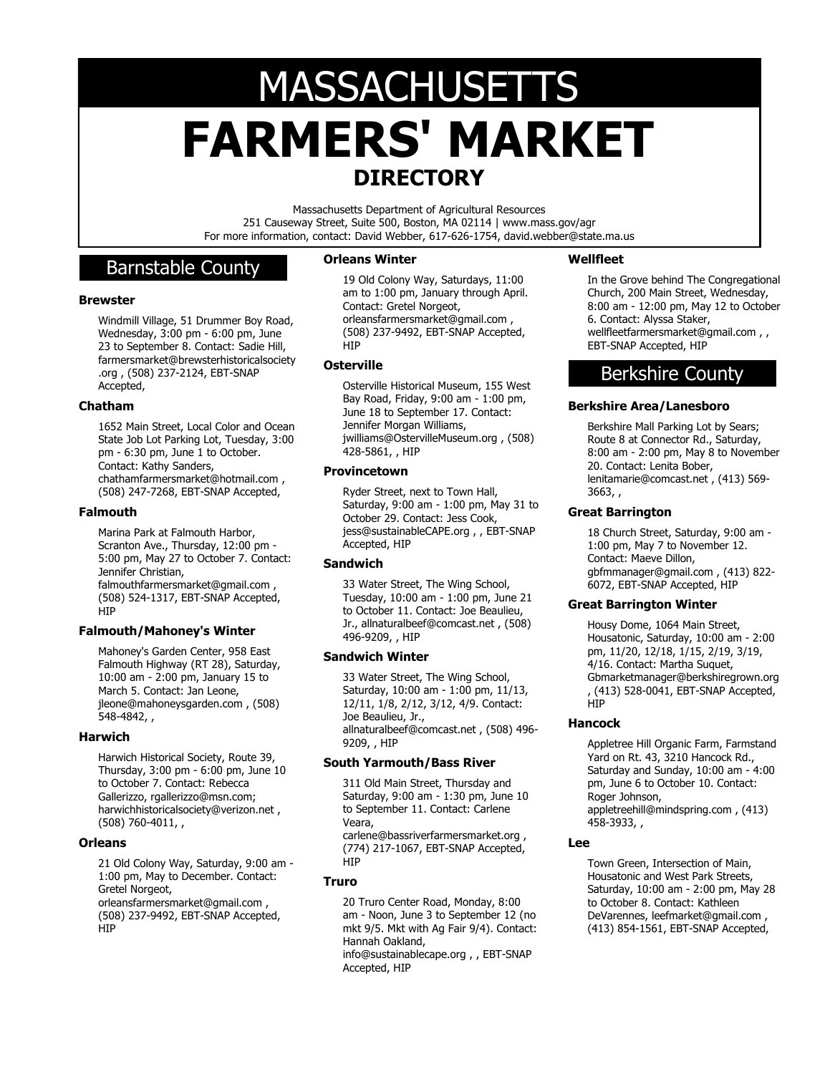# **FARMERS' MARKET DIRECTORY MASSACHUSETTS**

Massachusetts Department of Agricultural Resources 251 Causeway Street, Suite 500, Boston, MA 02114 | www.mass.gov/agr For more information, contact: David Webber, 617-626-1754, david.webber@state.ma.us

# Barnstable County

# **Brewster**

Windmill Village, 51 Drummer Boy Road, Wednesday, 3:00 pm - 6:00 pm, June 23 to September 8. Contact: Sadie Hill, farmersmarket@brewsterhistoricalsociety .org , (508) 237-2124, EBT-SNAP Accepted,

# **Chatham**

1652 Main Street, Local Color and Ocean State Job Lot Parking Lot, Tuesday, 3:00 pm - 6:30 pm, June 1 to October. Contact: Kathy Sanders, chathamfarmersmarket@hotmail.com , (508) 247-7268, EBT-SNAP Accepted,

# **Falmouth**

Marina Park at Falmouth Harbor, Scranton Ave., Thursday, 12:00 pm - 5:00 pm, May 27 to October 7. Contact: Jennifer Christian, falmouthfarmersmarket@gmail.com , (508) 524-1317, EBT-SNAP Accepted, **HIP** 

# **Falmouth/Mahoney's Winter**

Mahoney's Garden Center, 958 East Falmouth Highway (RT 28), Saturday, 10:00 am - 2:00 pm, January 15 to March 5. Contact: Jan Leone, jleone@mahoneysgarden.com , (508) 548-4842, ,

# **Harwich**

Harwich Historical Society, Route 39, Thursday, 3:00 pm - 6:00 pm, June 10 to October 7. Contact: Rebecca Gallerizzo, rgallerizzo@msn.com; harwichhistoricalsociety@verizon.net , (508) 760-4011, ,

# **Orleans**

21 Old Colony Way, Saturday, 9:00 am - 1:00 pm, May to December. Contact: Gretel Norgeot, orleansfarmersmarket@gmail.com , (508) 237-9492, EBT-SNAP Accepted, **HIP** 

# **Orleans Winter**

19 Old Colony Way, Saturdays, 11:00 am to 1:00 pm, January through April. Contact: Gretel Norgeot, orleansfarmersmarket@gmail.com , (508) 237-9492, EBT-SNAP Accepted, HIP

# **Osterville**

Osterville Historical Museum, 155 West Bay Road, Friday, 9:00 am - 1:00 pm, June 18 to September 17. Contact: Jennifer Morgan Williams, jwilliams@OstervilleMuseum.org , (508) .<br>428-5861, , HIP

# **Provincetown**

Ryder Street, next to Town Hall, Saturday, 9:00 am - 1:00 pm, May 31 to October 29. Contact: Jess Cook, jess@sustainableCAPE.org , , EBT-SNAP Accepted, HIP

# **Sandwich**

33 Water Street, The Wing School, Tuesday, 10:00 am - 1:00 pm, June 21 to October 11. Contact: Joe Beaulieu, Jr., allnaturalbeef@comcast.net , (508) 496-9209, , HIP

# **Sandwich Winter**

33 Water Street, The Wing School, Saturday, 10:00 am - 1:00 pm, 11/13, 12/11, 1/8, 2/12, 3/12, 4/9. Contact: Joe Beaulieu, Jr., allnaturalbeef@comcast.net , (508) 496- 9209, , HIP

# **South Yarmouth/Bass River**

311 Old Main Street, Thursday and Saturday, 9:00 am - 1:30 pm, June 10 to September 11. Contact: Carlene Veara, carlene@bassriverfarmersmarket.org , (774) 217-1067, EBT-SNAP Accepted, HIP

# **Truro**

20 Truro Center Road, Monday, 8:00 am - Noon, June 3 to September 12 (no mkt 9/5. Mkt with Ag Fair 9/4). Contact: Hannah Oakland, info@sustainablecape.org , , EBT-SNAP Accepted, HIP

# **Wellfleet**

In the Grove behind The Congregational Church, 200 Main Street, Wednesday, 8:00 am - 12:00 pm, May 12 to October 6. Contact: Alyssa Staker, wellfleetfarmersmarket@gmail.com , , EBT-SNAP Accepted, HIP

# Berkshire County

# **Berkshire Area/Lanesboro**

Berkshire Mall Parking Lot by Sears; Route 8 at Connector Rd., Saturday, 8:00 am - 2:00 pm, May 8 to November 20. Contact: Lenita Bober, lenitamarie@comcast.net , (413) 569- 3663, ,

# **Great Barrington**

18 Church Street, Saturday, 9:00 am - 1:00 pm, May 7 to November 12. Contact: Maeve Dillon, gbfmmanager@gmail.com , (413) 822- 6072, EBT-SNAP Accepted, HIP

# **Great Barrington Winter**

Housy Dome, 1064 Main Street, Housatonic, Saturday, 10:00 am - 2:00 pm, 11/20, 12/18, 1/15, 2/19, 3/19, 4/16. Contact: Martha Suquet, Gbmarketmanager@berkshiregrown.org , (413) 528-0041, EBT-SNAP Accepted, **H<sub>I</sub>P** 

# **Hancock**

Appletree Hill Organic Farm, Farmstand Yard on Rt. 43, 3210 Hancock Rd., Saturday and Sunday, 10:00 am - 4:00 pm, June 6 to October 10. Contact: Roger Johnson, appletreehill@mindspring.com , (413) 458-3933, ,

# **Lee**

Town Green, Intersection of Main, Housatonic and West Park Streets, Saturday, 10:00 am - 2:00 pm, May 28 to October 8. Contact: Kathleen DeVarennes, leefmarket@gmail.com , (413) 854-1561, EBT-SNAP Accepted,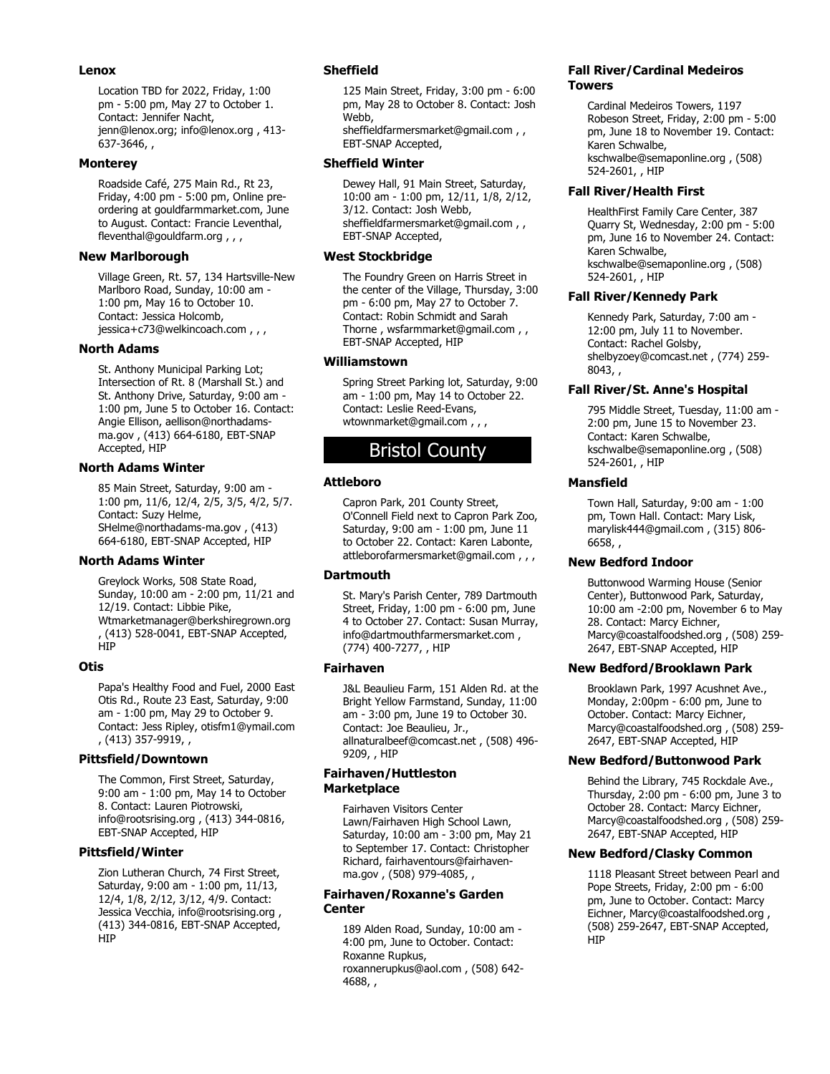#### **Lenox**

Location TBD for 2022, Friday, 1:00 pm - 5:00 pm, May 27 to October 1. Contact: Jennifer Nacht, jenn@lenox.org; info@lenox.org , 413- 637-3646, ,

#### **Monterey**

Roadside Café, 275 Main Rd., Rt 23, Friday, 4:00 pm - 5:00 pm, Online preordering at gouldfarmmarket.com, June to August. Contact: Francie Leventhal, fleventhal@gouldfarm.org , , ,

#### **New Marlborough**

Village Green, Rt. 57, 134 Hartsville-New Marlboro Road, Sunday, 10:00 am - 1:00 pm, May 16 to October 10. Contact: Jessica Holcomb, jessica+c73@welkincoach.com , , ,

# **North Adams**

St. Anthony Municipal Parking Lot; Intersection of Rt. 8 (Marshall St.) and St. Anthony Drive, Saturday, 9:00 am - 1:00 pm, June 5 to October 16. Contact: Angie Ellison, aellison@northadamsma.gov , (413) 664-6180, EBT-SNAP Accepted, HIP

#### **North Adams Winter**

85 Main Street, Saturday, 9:00 am - 1:00 pm, 11/6, 12/4, 2/5, 3/5, 4/2, 5/7. Contact: Suzy Helme, SHelme@northadams-ma.gov , (413) 664-6180, EBT-SNAP Accepted, HIP

# **North Adams Winter**

Greylock Works, 508 State Road, Sunday, 10:00 am - 2:00 pm, 11/21 and 12/19. Contact: Libbie Pike, Wtmarketmanager@berkshiregrown.org , (413) 528-0041, EBT-SNAP Accepted, HIP

# **Otis**

Papa's Healthy Food and Fuel, 2000 East Otis Rd., Route 23 East, Saturday, 9:00 am - 1:00 pm, May 29 to October 9. Contact: Jess Ripley, otisfm1@ymail.com , (413) 357-9919, ,

#### **Pittsfield/Downtown**

The Common, First Street, Saturday, 9:00 am - 1:00 pm, May 14 to October 8. Contact: Lauren Piotrowski, info@rootsrising.org , (413) 344-0816, EBT-SNAP Accepted, HIP

# **Pittsfield/Winter**

Zion Lutheran Church, 74 First Street, Saturday, 9:00 am - 1:00 pm, 11/13, 12/4, 1/8, 2/12, 3/12, 4/9. Contact: Jessica Vecchia, info@rootsrising.org , (413) 344-0816, EBT-SNAP Accepted, HIP

# **Sheffield**

125 Main Street, Friday, 3:00 pm - 6:00 pm, May 28 to October 8. Contact: Josh Webb, sheffieldfarmersmarket@gmail.com , ,

EBT-SNAP Accepted,

#### **Sheffield Winter**

Dewey Hall, 91 Main Street, Saturday, 10:00 am - 1:00 pm, 12/11, 1/8, 2/12, 3/12. Contact: Josh Webb, sheffieldfarmersmarket@gmail.com , , EBT-SNAP Accepted,

#### **West Stockbridge**

The Foundry Green on Harris Street in the center of the Village, Thursday, 3:00 pm - 6:00 pm, May 27 to October 7. Contact: Robin Schmidt and Sarah Thorne, wsfarmmarket@gmail.com, EBT-SNAP Accepted, HIP

# **Williamstown**

Spring Street Parking lot, Saturday, 9:00 am - 1:00 pm, May 14 to October 22. Contact: Leslie Reed-Evans, wtownmarket@gmail.com , , ,

# Bristol County

# **Attleboro**

Capron Park, 201 County Street, O'Connell Field next to Capron Park Zoo, Saturday, 9:00 am - 1:00 pm, June 11 to October 22. Contact: Karen Labonte, attleborofarmersmarket@gmail.com , , ,

# **Dartmouth**

St. Mary's Parish Center, 789 Dartmouth Street, Friday, 1:00 pm - 6:00 pm, June 4 to October 27. Contact: Susan Murray, info@dartmouthfarmersmarket.com , (774) 400-7277, , HIP

# **Fairhaven**

J&L Beaulieu Farm, 151 Alden Rd. at the Bright Yellow Farmstand, Sunday, 11:00 am - 3:00 pm, June 19 to October 30. Contact: Joe Beaulieu, Jr., allnaturalbeef@comcast.net , (508) 496- 9209, , HIP

#### **Fairhaven/Huttleston Marketplace**

Fairhaven Visitors Center Lawn/Fairhaven High School Lawn, Saturday, 10:00 am - 3:00 pm, May 21 to September 17. Contact: Christopher Richard, fairhaventours@fairhavenma.gov , (508) 979-4085, ,

#### **Fairhaven/Roxanne's Garden Center**

189 Alden Road, Sunday, 10:00 am - 4:00 pm, June to October. Contact: Roxanne Rupkus, roxannerupkus@aol.com , (508) 642- 4688, ,

#### **Fall River/Cardinal Medeiros Towers**

Cardinal Medeiros Towers, 1197 Robeson Street, Friday, 2:00 pm - 5:00 pm, June 18 to November 19. Contact: Karen Schwalbe, kschwalbe@semaponline.org , (508) 524-2601, , HIP

# **Fall River/Health First**

HealthFirst Family Care Center, 387 Quarry St, Wednesday, 2:00 pm - 5:00 pm, June 16 to November 24. Contact: Karen Schwalbe, kschwalbe@semaponline.org , (508) 524-2601, , HIP

# **Fall River/Kennedy Park**

Kennedy Park, Saturday, 7:00 am - 12:00 pm, July 11 to November. Contact: Rachel Golsby, shelbyzoey@comcast.net , (774) 259- 8043, ,

# **Fall River/St. Anne's Hospital**

795 Middle Street, Tuesday, 11:00 am - 2:00 pm, June 15 to November 23. Contact: Karen Schwalbe, kschwalbe@semaponline.org , (508) 524-2601, , HIP

# **Mansfield**

Town Hall, Saturday, 9:00 am - 1:00 pm, Town Hall. Contact: Mary Lisk, marylisk444@gmail.com , (315) 806- 6658, ,

#### **New Bedford Indoor**

Buttonwood Warming House (Senior Center), Buttonwood Park, Saturday, 10:00 am -2:00 pm, November 6 to May 28. Contact: Marcy Eichner, Marcy@coastalfoodshed.org , (508) 259- 2647, EBT-SNAP Accepted, HIP

# **New Bedford/Brooklawn Park**

Brooklawn Park, 1997 Acushnet Ave., Monday, 2:00pm - 6:00 pm, June to October. Contact: Marcy Eichner, Marcy@coastalfoodshed.org , (508) 259- 2647, EBT-SNAP Accepted, HIP

#### **New Bedford/Buttonwood Park**

Behind the Library, 745 Rockdale Ave., Thursday, 2:00 pm - 6:00 pm, June 3 to October 28. Contact: Marcy Eichner, Marcy@coastalfoodshed.org , (508) 259- 2647, EBT-SNAP Accepted, HIP

# **New Bedford/Clasky Common**

1118 Pleasant Street between Pearl and Pope Streets, Friday, 2:00 pm - 6:00 pm, June to October. Contact: Marcy Eichner, Marcy@coastalfoodshed.org , (508) 259-2647, EBT-SNAP Accepted, HIP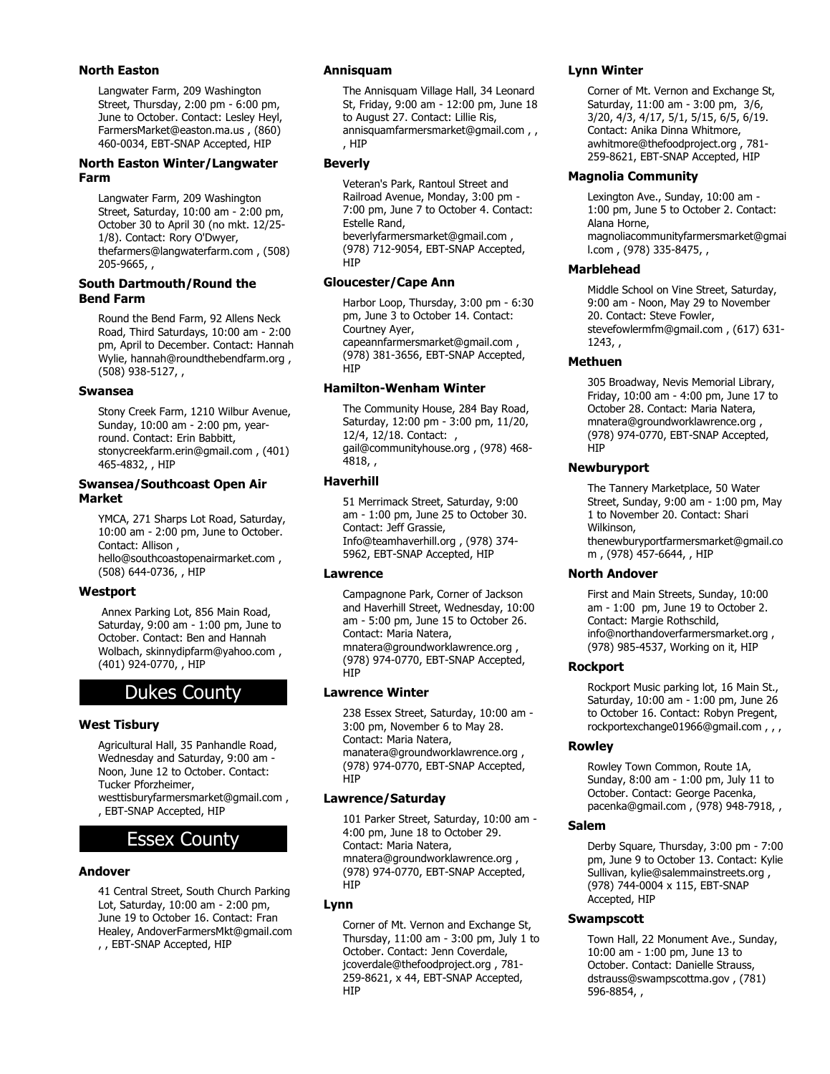# **North Easton**

Langwater Farm, 209 Washington Street, Thursday, 2:00 pm - 6:00 pm, June to October. Contact: Lesley Heyl, FarmersMarket@easton.ma.us , (860) 460-0034, EBT-SNAP Accepted, HIP

# **North Easton Winter/Langwater Farm**

Langwater Farm, 209 Washington Street, Saturday, 10:00 am - 2:00 pm, October 30 to April 30 (no mkt. 12/25- 1/8). Contact: Rory O'Dwyer, thefarmers@langwaterfarm.com , (508) 205-9665, ,

# **South Dartmouth/Round the Bend Farm**

Round the Bend Farm, 92 Allens Neck Road, Third Saturdays, 10:00 am - 2:00 pm, April to December. Contact: Hannah Wylie, hannah@roundthebendfarm.org , (508) 938-5127, ,

# **Swansea**

Stony Creek Farm, 1210 Wilbur Avenue, Sunday, 10:00 am - 2:00 pm, yearround. Contact: Erin Babbitt, stonycreekfarm.erin@gmail.com , (401) 465-4832, , HIP

#### **Swansea/Southcoast Open Air Market**

YMCA, 271 Sharps Lot Road, Saturday, 10:00 am - 2:00 pm, June to October. Contact: Allison , hello@southcoastopenairmarket.com , (508) 644-0736, , HIP

# **Westport**

 Annex Parking Lot, 856 Main Road, Saturday, 9:00 am - 1:00 pm, June to October. Contact: Ben and Hannah Wolbach, skinnydipfarm@yahoo.com , (401) 924-0770, , HIP

# Dukes County

# **West Tisbury**

Agricultural Hall, 35 Panhandle Road, Wednesday and Saturday, 9:00 am -Noon, June 12 to October. Contact: Tucker Pforzheimer, westtisburyfarmersmarket@gmail.com , , EBT-SNAP Accepted, HIP

# Essex County

# **Andover**

41 Central Street, South Church Parking Lot, Saturday, 10:00 am - 2:00 pm, June 19 to October 16. Contact: Fran Healey, AndoverFarmersMkt@gmail.com , , EBT-SNAP Accepted, HIP

# **Annisquam**

The Annisquam Village Hall, 34 Leonard St, Friday, 9:00 am - 12:00 pm, June 18 to August 27. Contact: Lillie Ris, annisquamfarmersmarket@gmail.com , , , HIP

# **Beverly**

Veteran's Park, Rantoul Street and Railroad Avenue, Monday, 3:00 pm - 7:00 pm, June 7 to October 4. Contact: Estelle Rand, beverlyfarmersmarket@gmail.com , (978) 712-9054, EBT-SNAP Accepted, **HIP** 

# **Gloucester/Cape Ann**

Harbor Loop, Thursday, 3:00 pm - 6:30 pm, June 3 to October 14. Contact: Courtney Ayer, capeannfarmersmarket@gmail.com ,

(978) 381-3656, EBT-SNAP Accepted, HIP

# **Hamilton-Wenham Winter**

The Community House, 284 Bay Road, Saturday, 12:00 pm - 3:00 pm, 11/20, 12/4, 12/18. Contact: , gail@communityhouse.org , (978) 468- 4818, ,

# **Haverhill**

51 Merrimack Street, Saturday, 9:00 am - 1:00 pm, June 25 to October 30. Contact: Jeff Grassie, Info@teamhaverhill.org , (978) 374- 5962, EBT-SNAP Accepted, HIP

# **Lawrence**

Campagnone Park, Corner of Jackson and Haverhill Street, Wednesday, 10:00 am - 5:00 pm, June 15 to October 26. Contact: Maria Natera, mnatera@groundworklawrence.org , (978) 974-0770, EBT-SNAP Accepted, HIP

# **Lawrence Winter**

238 Essex Street, Saturday, 10:00 am - 3:00 pm, November 6 to May 28. Contact: Maria Natera, manatera@groundworklawrence.org , (978) 974-0770, EBT-SNAP Accepted, **HIP** 

# **Lawrence/Saturday**

101 Parker Street, Saturday, 10:00 am - 4:00 pm, June 18 to October 29. Contact: Maria Natera, mnatera@groundworklawrence.org , (978) 974-0770, EBT-SNAP Accepted, **HIP** 

# **Lynn**

Corner of Mt. Vernon and Exchange St, Thursday, 11:00 am - 3:00 pm, July 1 to October. Contact: Jenn Coverdale, jcoverdale@thefoodproject.org , 781- 259-8621, x 44, EBT-SNAP Accepted, HIP

# **Lynn Winter**

Corner of Mt. Vernon and Exchange St, Saturday, 11:00 am - 3:00 pm, 3/6, 3/20, 4/3, 4/17, 5/1, 5/15, 6/5, 6/19. Contact: Anika Dinna Whitmore, awhitmore@thefoodproject.org , 781- 259-8621, EBT-SNAP Accepted, HIP

# **Magnolia Community**

Lexington Ave., Sunday, 10:00 am - 1:00 pm, June 5 to October 2. Contact: Alana Horne, magnoliacommunityfarmersmarket@gmai l.com , (978) 335-8475, ,

# **Marblehead**

Middle School on Vine Street, Saturday, 9:00 am - Noon, May 29 to November 20. Contact: Steve Fowler, stevefowlermfm@gmail.com , (617) 631- 1243, ,

# **Methuen**

305 Broadway, Nevis Memorial Library, Friday, 10:00 am - 4:00 pm, June 17 to October 28. Contact: Maria Natera, mnatera@groundworklawrence.org , (978) 974-0770, EBT-SNAP Accepted, HIP

# **Newburyport**

The Tannery Marketplace, 50 Water Street, Sunday, 9:00 am - 1:00 pm, May 1 to November 20. Contact: Shari Wilkinson, thenewburyportfarmersmarket@gmail.co m , (978) 457-6644, , HIP

# **North Andover**

First and Main Streets, Sunday, 10:00 am - 1:00 pm, June 19 to October 2. Contact: Margie Rothschild, info@northandoverfarmersmarket.org , (978) 985-4537, Working on it, HIP

# **Rockport**

Rockport Music parking lot, 16 Main St., Saturday, 10:00 am - 1:00 pm, June 26 to October 16. Contact: Robyn Pregent, rockportexchange01966@gmail.com , , ,

# **Rowley**

Rowley Town Common, Route 1A, Sunday, 8:00 am - 1:00 pm, July 11 to October. Contact: George Pacenka, pacenka@gmail.com , (978) 948-7918, ,

# **Salem**

Derby Square, Thursday, 3:00 pm - 7:00 pm, June 9 to October 13. Contact: Kylie Sullivan, kylie@salemmainstreets.org , (978) 744-0004 x 115, EBT-SNAP Accepted, HIP

# **Swampscott**

Town Hall, 22 Monument Ave., Sunday, 10:00 am - 1:00 pm, June 13 to October. Contact: Danielle Strauss, dstrauss@swampscottma.gov , (781) 596-8854, ,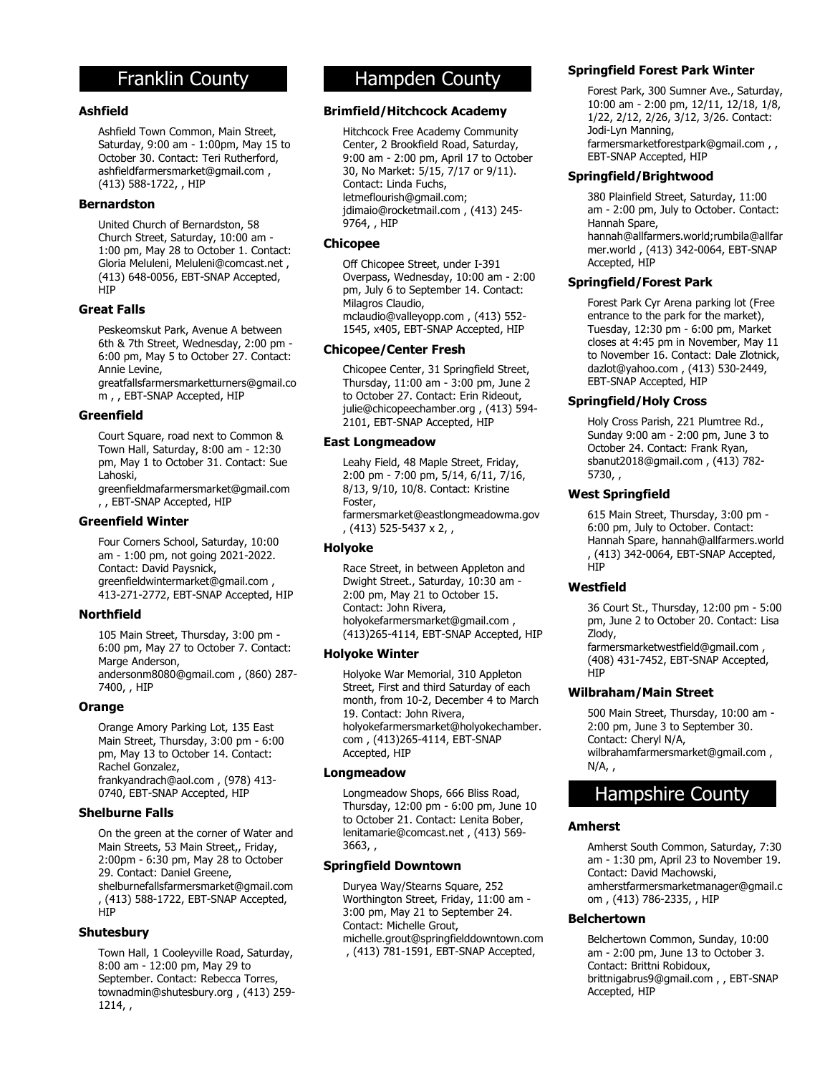# Franklin County

# **Ashfield**

Ashfield Town Common, Main Street, Saturday, 9:00 am - 1:00pm, May 15 to October 30. Contact: Teri Rutherford, ashfieldfarmersmarket@gmail.com , (413) 588-1722, , HIP

#### **Bernardston**

United Church of Bernardston, 58 Church Street, Saturday, 10:00 am - 1:00 pm, May 28 to October 1. Contact: Gloria Meluleni, Meluleni@comcast.net , (413) 648-0056, EBT-SNAP Accepted, **HIP** 

# **Great Falls**

Peskeomskut Park, Avenue A between 6th & 7th Street, Wednesday, 2:00 pm - 6:00 pm, May 5 to October 27. Contact: Annie Levine, greatfallsfarmersmarketturners@gmail.co

m , , EBT-SNAP Accepted, HIP

# **Greenfield**

Court Square, road next to Common & Town Hall, Saturday, 8:00 am - 12:30 pm, May 1 to October 31. Contact: Sue Lahoski, greenfieldmafarmersmarket@gmail.com

, , EBT-SNAP Accepted, HIP

# **Greenfield Winter**

Four Corners School, Saturday, 10:00 am - 1:00 pm, not going 2021-2022. Contact: David Paysnick, greenfieldwintermarket@gmail.com , 413-271-2772, EBT-SNAP Accepted, HIP

# **Northfield**

105 Main Street, Thursday, 3:00 pm - 6:00 pm, May 27 to October 7. Contact: Marge Anderson, andersonm8080@gmail.com , (860) 287- 7400, , HIP

#### **Orange**

Orange Amory Parking Lot, 135 East Main Street, Thursday, 3:00 pm - 6:00 pm, May 13 to October 14. Contact: Rachel Gonzalez, frankyandrach@aol.com , (978) 413- 0740, EBT-SNAP Accepted, HIP

# **Shelburne Falls**

On the green at the corner of Water and Main Streets, 53 Main Street,, Friday, 2:00pm - 6:30 pm, May 28 to October 29. Contact: Daniel Greene, shelburnefallsfarmersmarket@gmail.com , (413) 588-1722, EBT-SNAP Accepted, HIP

#### **Shutesbury**

Town Hall, 1 Cooleyville Road, Saturday, 8:00 am - 12:00 pm, May 29 to September. Contact: Rebecca Torres, townadmin@shutesbury.org , (413) 259- 1214, ,

# Hampden County

# **Brimfield/Hitchcock Academy**

Hitchcock Free Academy Community Center, 2 Brookfield Road, Saturday, 9:00 am - 2:00 pm, April 17 to October 30, No Market: 5/15, 7/17 or 9/11). Contact: Linda Fuchs, letmeflourish@gmail.com; jdimaio@rocketmail.com , (413) 245- 9764, , HIP

# **Chicopee**

Off Chicopee Street, under I-391 Overpass, Wednesday, 10:00 am - 2:00 pm, July 6 to September 14. Contact: Milagros Claudio, mclaudio@valleyopp.com , (413) 552- 1545, x405, EBT-SNAP Accepted, HIP

#### **Chicopee/Center Fresh**

Chicopee Center, 31 Springfield Street, Thursday, 11:00 am - 3:00 pm, June 2 to October 27. Contact: Erin Rideout, julie@chicopeechamber.org , (413) 594- 2101, EBT-SNAP Accepted, HIP

#### **East Longmeadow**

Leahy Field, 48 Maple Street, Friday, 2:00 pm - 7:00 pm, 5/14, 6/11, 7/16, 8/13, 9/10, 10/8. Contact: Kristine Foster, farmersmarket@eastlongmeadowma.gov , (413) 525-5437 x 2, ,

# **Holyoke**

Race Street, in between Appleton and Dwight Street., Saturday, 10:30 am - 2:00 pm, May 21 to October 15. Contact: John Rivera, holyokefarmersmarket@gmail.com , (413)265-4114, EBT-SNAP Accepted, HIP

# **Holyoke Winter**

Holyoke War Memorial, 310 Appleton Street, First and third Saturday of each month, from 10-2, December 4 to March 19. Contact: John Rivera, holyokefarmersmarket@holyokechamber. com , (413)265-4114, EBT-SNAP Accepted, HIP

# **Longmeadow**

Longmeadow Shops, 666 Bliss Road, Thursday, 12:00 pm - 6:00 pm, June 10 to October 21. Contact: Lenita Bober, lenitamarie@comcast.net , (413) 569- 3663, ,

# **Springfield Downtown**

Duryea Way/Stearns Square, 252 Worthington Street, Friday, 11:00 am - 3:00 pm, May 21 to September 24. Contact: Michelle Grout, michelle.grout@springfielddowntown.com , (413) 781-1591, EBT-SNAP Accepted,

# **Springfield Forest Park Winter**

Forest Park, 300 Sumner Ave., Saturday, 10:00 am - 2:00 pm, 12/11, 12/18, 1/8, 1/22, 2/12, 2/26, 3/12, 3/26. Contact: Jodi-Lyn Manning, farmersmarketforestpark@gmail.com , , EBT-SNAP Accepted, HIP

# **Springfield/Brightwood**

380 Plainfield Street, Saturday, 11:00 am - 2:00 pm, July to October. Contact: Hannah Spare, hannah@allfarmers.world;rumbila@allfar mer.world , (413) 342-0064, EBT-SNAP Accepted, HIP

# **Springfield/Forest Park**

Forest Park Cyr Arena parking lot (Free entrance to the park for the market), Tuesday, 12:30 pm - 6:00 pm, Market closes at 4:45 pm in November, May 11 to November 16. Contact: Dale Zlotnick, dazlot@yahoo.com , (413) 530-2449, EBT-SNAP Accepted, HIP

# **Springfield/Holy Cross**

Holy Cross Parish, 221 Plumtree Rd., Sunday 9:00 am - 2:00 pm, June 3 to October 24. Contact: Frank Ryan, sbanut2018@gmail.com , (413) 782- 5730, ,

# **West Springfield**

615 Main Street, Thursday, 3:00 pm - 6:00 pm, July to October. Contact: Hannah Spare, hannah@allfarmers.world , (413) 342-0064, EBT-SNAP Accepted, **H<sub>IP</sub>** 

# **Westfield**

36 Court St., Thursday, 12:00 pm - 5:00 pm, June 2 to October 20. Contact: Lisa Zlody,

farmersmarketwestfield@gmail.com , (408) 431-7452, EBT-SNAP Accepted, HIP

# **Wilbraham/Main Street**

500 Main Street, Thursday, 10:00 am - 2:00 pm, June 3 to September 30. Contact: Cheryl N/A, wilbrahamfarmersmarket@gmail.com ,  $N/A$ ,

# Hampshire County

#### **Amherst**

Amherst South Common, Saturday, 7:30 am - 1:30 pm, April 23 to November 19. Contact: David Machowski, amherstfarmersmarketmanager@gmail.c om , (413) 786-2335, , HIP

#### **Belchertown**

Belchertown Common, Sunday, 10:00 am - 2:00 pm, June 13 to October 3. Contact: Brittni Robidoux, brittnigabrus9@gmail.com , , EBT-SNAP Accepted, HIP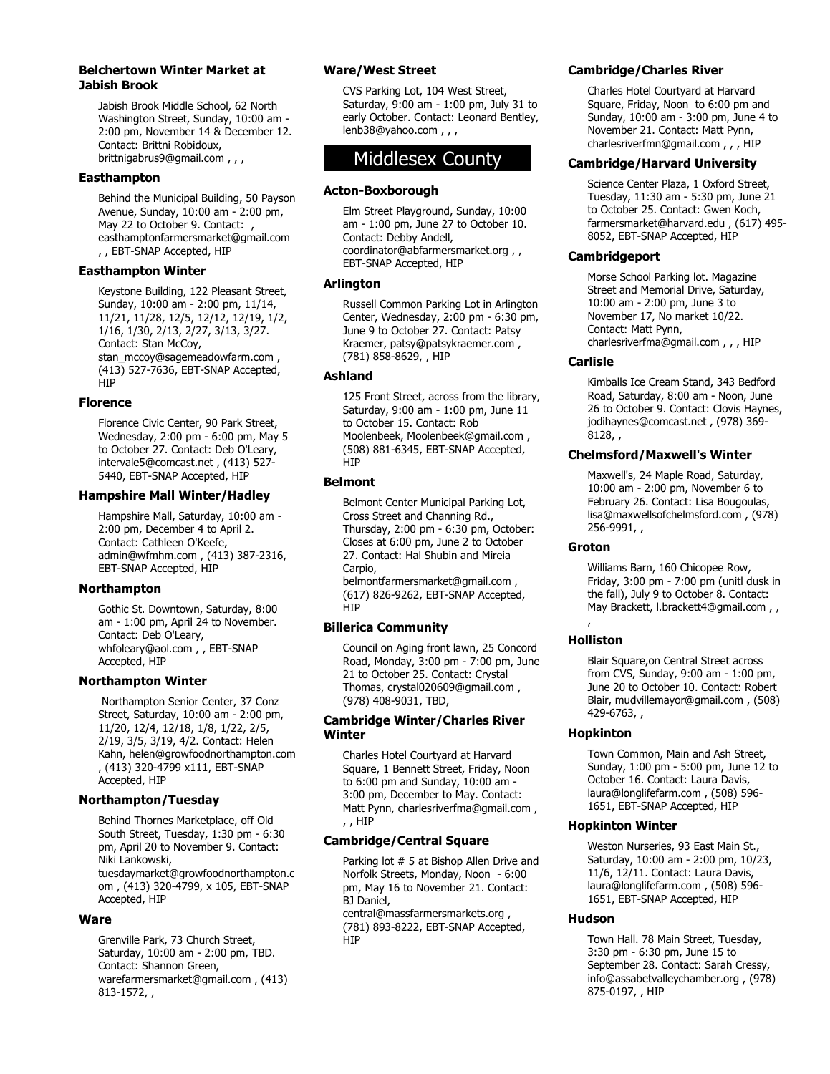#### **Belchertown Winter Market at Jabish Brook**

Jabish Brook Middle School, 62 North Washington Street, Sunday, 10:00 am - 2:00 pm, November 14 & December 12. Contact: Brittni Robidoux, brittnigabrus9@gmail.com , , ,

# **Easthampton**

Behind the Municipal Building, 50 Payson Avenue, Sunday, 10:00 am - 2:00 pm, May 22 to October 9. Contact: easthamptonfarmersmarket@gmail.com , , EBT-SNAP Accepted, HIP

#### **Easthampton Winter**

Keystone Building, 122 Pleasant Street, Sunday, 10:00 am - 2:00 pm, 11/14, 11/21, 11/28, 12/5, 12/12, 12/19, 1/2, 1/16, 1/30, 2/13, 2/27, 3/13, 3/27. Contact: Stan McCoy, stan\_mccoy@sagemeadowfarm.com , (413) 527-7636, EBT-SNAP Accepted, **HIP** 

#### **Florence**

Florence Civic Center, 90 Park Street, Wednesday, 2:00 pm - 6:00 pm, May 5 to October 27. Contact: Deb O'Leary, intervale5@comcast.net , (413) 527- 5440, EBT-SNAP Accepted, HIP

# **Hampshire Mall Winter/Hadley**

Hampshire Mall, Saturday, 10:00 am - 2:00 pm, December 4 to April 2. Contact: Cathleen O'Keefe, admin@wfmhm.com , (413) 387-2316, EBT-SNAP Accepted, HIP

# **Northampton**

Gothic St. Downtown, Saturday, 8:00 am - 1:00 pm, April 24 to November. Contact: Deb O'Leary, whfoleary@aol.com , , EBT-SNAP Accepted, HIP

# **Northampton Winter**

 Northampton Senior Center, 37 Conz Street, Saturday, 10:00 am - 2:00 pm, 11/20, 12/4, 12/18, 1/8, 1/22, 2/5, 2/19, 3/5, 3/19, 4/2. Contact: Helen Kahn, helen@growfoodnorthampton.com , (413) 320-4799 x111, EBT-SNAP Accepted, HIP

# **Northampton/Tuesday**

Behind Thornes Marketplace, off Old South Street, Tuesday, 1:30 pm - 6:30 pm, April 20 to November 9. Contact: Niki Lankowski, tuesdaymarket@growfoodnorthampton.c om , (413) 320-4799, x 105, EBT-SNAP Accepted, HIP

# **Ware**

Grenville Park, 73 Church Street, Saturday, 10:00 am - 2:00 pm, TBD. Contact: Shannon Green, warefarmersmarket@gmail.com , (413) 813-1572, ,

# **Ware/West Street**

CVS Parking Lot, 104 West Street, Saturday, 9:00 am - 1:00 pm, July 31 to early October. Contact: Leonard Bentley, lenb38@yahoo.com , , ,

# Middlesex County

#### **Acton-Boxborough**

Elm Street Playground, Sunday, 10:00 am - 1:00 pm, June 27 to October 10. Contact: Debby Andell, coordinator@abfarmersmarket.org , , EBT-SNAP Accepted, HIP

#### **Arlington**

Russell Common Parking Lot in Arlington Center, Wednesday, 2:00 pm - 6:30 pm, June 9 to October 27. Contact: Patsy Kraemer, patsy@patsykraemer.com , (781) 858-8629, , HIP

# **Ashland**

125 Front Street, across from the library, Saturday, 9:00 am - 1:00 pm, June 11 to October 15. Contact: Rob Moolenbeek, Moolenbeek@gmail.com , (508) 881-6345, EBT-SNAP Accepted, HIP

#### **Belmont**

Belmont Center Municipal Parking Lot, Cross Street and Channing Rd., Thursday, 2:00 pm - 6:30 pm, October: Closes at 6:00 pm, June 2 to October 27. Contact: Hal Shubin and Mireia Carpio, belmontfarmersmarket@gmail.com , (617) 826-9262, EBT-SNAP Accepted, **HIP** 

# **Billerica Community**

Council on Aging front lawn, 25 Concord Road, Monday, 3:00 pm - 7:00 pm, June 21 to October 25. Contact: Crystal Thomas, crystal020609@gmail.com , (978) 408-9031, TBD,

# **Cambridge Winter/Charles River Winter**

Charles Hotel Courtyard at Harvard Square, 1 Bennett Street, Friday, Noon to 6:00 pm and Sunday, 10:00 am - 3:00 pm, December to May. Contact: Matt Pynn, charlesriverfma@gmail.com , , , HIP

# **Cambridge/Central Square**

Parking lot # 5 at Bishop Allen Drive and Norfolk Streets, Monday, Noon - 6:00 pm, May 16 to November 21. Contact: BJ Daniel, central@massfarmersmarkets.org , (781) 893-8222, EBT-SNAP Accepted, HIP

# **Cambridge/Charles River**

Charles Hotel Courtyard at Harvard Square, Friday, Noon to 6:00 pm and Sunday, 10:00 am - 3:00 pm, June 4 to November 21. Contact: Matt Pynn, charlesriverfmn@gmail.com, , , HIP

# **Cambridge/Harvard University**

Science Center Plaza, 1 Oxford Street, Tuesday, 11:30 am - 5:30 pm, June 21 to October 25. Contact: Gwen Koch, farmersmarket@harvard.edu , (617) 495- 8052, EBT-SNAP Accepted, HIP

#### **Cambridgeport**

Morse School Parking lot. Magazine Street and Memorial Drive, Saturday, 10:00 am - 2:00 pm, June 3 to November 17, No market 10/22. Contact: Matt Pynn, charlesriverfma@gmail.com , , , HIP

#### **Carlisle**

Kimballs Ice Cream Stand, 343 Bedford Road, Saturday, 8:00 am - Noon, June 26 to October 9. Contact: Clovis Haynes, jodihaynes@comcast.net , (978) 369-  $8128,$ 

# **Chelmsford/Maxwell's Winter**

Maxwell's, 24 Maple Road, Saturday, 10:00 am - 2:00 pm, November 6 to February 26. Contact: Lisa Bougoulas, lisa@maxwellsofchelmsford.com , (978) 256-9991, ,

# **Groton**

Williams Barn, 160 Chicopee Row, Friday, 3:00 pm - 7:00 pm (unitl dusk in the fall), July 9 to October 8. Contact: May Brackett, l.brackett4@gmail.com,

# , **Holliston**

Blair Square,on Central Street across from CVS, Sunday, 9:00 am - 1:00 pm, June 20 to October 10. Contact: Robert Blair, mudvillemayor@gmail.com , (508) 429-6763, ,

# **Hopkinton**

Town Common, Main and Ash Street, Sunday, 1:00 pm - 5:00 pm, June 12 to October 16. Contact: Laura Davis, laura@longlifefarm.com , (508) 596- 1651, EBT-SNAP Accepted, HIP

#### **Hopkinton Winter**

Weston Nurseries, 93 East Main St., Saturday, 10:00 am - 2:00 pm, 10/23, 11/6, 12/11. Contact: Laura Davis, laura@longlifefarm.com , (508) 596- 1651, EBT-SNAP Accepted, HIP

# **Hudson**

Town Hall. 78 Main Street, Tuesday, 3:30 pm - 6:30 pm, June 15 to September 28. Contact: Sarah Cressy, info@assabetvalleychamber.org , (978) 875-0197, , HIP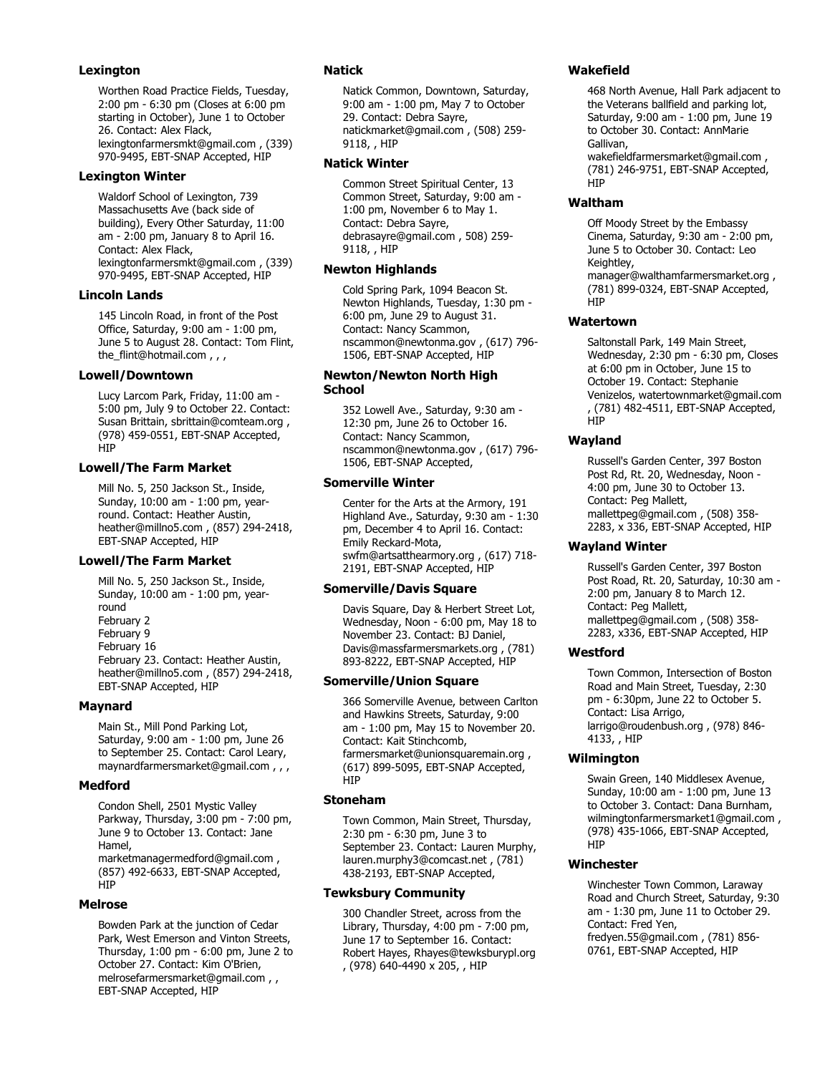# **Lexington**

Worthen Road Practice Fields, Tuesday, 2:00 pm - 6:30 pm (Closes at 6:00 pm starting in October), June 1 to October 26. Contact: Alex Flack, lexingtonfarmersmkt@gmail.com , (339) 970-9495, EBT-SNAP Accepted, HIP

# **Lexington Winter**

Waldorf School of Lexington, 739 Massachusetts Ave (back side of building), Every Other Saturday, 11:00 am - 2:00 pm, January 8 to April 16. Contact: Alex Flack, lexingtonfarmersmkt@gmail.com , (339) 970-9495, EBT-SNAP Accepted, HIP

# **Lincoln Lands**

145 Lincoln Road, in front of the Post Office, Saturday, 9:00 am - 1:00 pm, June 5 to August 28. Contact: Tom Flint, the\_flint@hotmail.com , , ,

# **Lowell/Downtown**

Lucy Larcom Park, Friday, 11:00 am - 5:00 pm, July 9 to October 22. Contact: Susan Brittain, sbrittain@comteam.org , (978) 459-0551, EBT-SNAP Accepted, **H<sub>I</sub>P** 

# **Lowell/The Farm Market**

Mill No. 5, 250 Jackson St., Inside, Sunday, 10:00 am - 1:00 pm, yearround. Contact: Heather Austin, heather@millno5.com , (857) 294-2418, EBT-SNAP Accepted, HIP

# **Lowell/The Farm Market**

Mill No. 5, 250 Jackson St., Inside, Sunday, 10:00 am - 1:00 pm, yearround February 2 February 9 February 16 February 23. Contact: Heather Austin, heather@millno5.com , (857) 294-2418, EBT-SNAP Accepted, HIP

# **Maynard**

Main St., Mill Pond Parking Lot, Saturday, 9:00 am - 1:00 pm, June 26 to September 25. Contact: Carol Leary, maynardfarmersmarket@gmail.com , , ,

# **Medford**

Condon Shell, 2501 Mystic Valley Parkway, Thursday, 3:00 pm - 7:00 pm, June 9 to October 13. Contact: Jane Hamel, marketmanagermedford@gmail.com , (857) 492-6633, EBT-SNAP Accepted, **HIP** 

# **Melrose**

Bowden Park at the junction of Cedar Park, West Emerson and Vinton Streets, Thursday, 1:00 pm - 6:00 pm, June 2 to October 27. Contact: Kim O'Brien, melrosefarmersmarket@gmail.com , , EBT-SNAP Accepted, HIP

# **Natick**

Natick Common, Downtown, Saturday, 9:00 am - 1:00 pm, May 7 to October 29. Contact: Debra Sayre, natickmarket@gmail.com , (508) 259- 9118, , HIP

# **Natick Winter**

Common Street Spiritual Center, 13 Common Street, Saturday, 9:00 am - 1:00 pm, November 6 to May 1. Contact: Debra Sayre, debrasayre@gmail.com , 508) 259- 9118, , HIP

# **Newton Highlands**

Cold Spring Park, 1094 Beacon St. Newton Highlands, Tuesday, 1:30 pm - 6:00 pm, June 29 to August 31. Contact: Nancy Scammon, nscammon@newtonma.gov , (617) 796- 1506, EBT-SNAP Accepted, HIP

#### **Newton/Newton North High School**

352 Lowell Ave., Saturday, 9:30 am - 12:30 pm, June 26 to October 16. Contact: Nancy Scammon, nscammon@newtonma.gov , (617) 796- 1506, EBT-SNAP Accepted,

# **Somerville Winter**

Center for the Arts at the Armory, 191 Highland Ave., Saturday, 9:30 am - 1:30 pm, December 4 to April 16. Contact: Emily Reckard-Mota, swfm@artsatthearmory.org , (617) 718- 2191, EBT-SNAP Accepted, HIP

# **Somerville/Davis Square**

Davis Square, Day & Herbert Street Lot, Wednesday, Noon - 6:00 pm, May 18 to November 23. Contact: BJ Daniel, Davis@massfarmersmarkets.org , (781) 893-8222, EBT-SNAP Accepted, HIP

# **Somerville/Union Square**

366 Somerville Avenue, between Carlton and Hawkins Streets, Saturday, 9:00 am - 1:00 pm, May 15 to November 20. Contact: Kait Stinchcomb, farmersmarket@unionsquaremain.org , (617) 899-5095, EBT-SNAP Accepted, **HIP** 

# **Stoneham**

Town Common, Main Street, Thursday, 2:30 pm - 6:30 pm, June 3 to September 23. Contact: Lauren Murphy, lauren.murphy3@comcast.net , (781) 438-2193, EBT-SNAP Accepted,

# **Tewksbury Community**

300 Chandler Street, across from the Library, Thursday, 4:00 pm - 7:00 pm, June 17 to September 16. Contact: Robert Hayes, Rhayes@tewksburypl.org , (978) 640-4490 x 205, , HIP

# **Wakefield**

468 North Avenue, Hall Park adjacent to the Veterans ballfield and parking lot, Saturday, 9:00 am - 1:00 pm, June 19 to October 30. Contact: AnnMarie Gallivan,

wakefieldfarmersmarket@gmail.com , (781) 246-9751, EBT-SNAP Accepted, HIP

# **Waltham**

Off Moody Street by the Embassy Cinema, Saturday, 9:30 am - 2:00 pm, June 5 to October 30. Contact: Leo Keightley, manager@walthamfarmersmarket.org , (781) 899-0324, EBT-SNAP Accepted, HIP

# **Watertown**

Saltonstall Park, 149 Main Street, Wednesday, 2:30 pm - 6:30 pm, Closes at 6:00 pm in October, June 15 to October 19. Contact: Stephanie Venizelos, watertownmarket@gmail.com , (781) 482-4511, EBT-SNAP Accepted, **HIP** 

# **Wayland**

Russell's Garden Center, 397 Boston Post Rd, Rt. 20, Wednesday, Noon - 4:00 pm, June 30 to October 13. Contact: Peg Mallett, mallettpeg@gmail.com , (508) 358- 2283, x 336, EBT-SNAP Accepted, HIP

# **Wayland Winter**

Russell's Garden Center, 397 Boston Post Road, Rt. 20, Saturday, 10:30 am - 2:00 pm, January 8 to March 12. Contact: Peg Mallett, mallettpeg@gmail.com , (508) 358- 2283, x336, EBT-SNAP Accepted, HIP

# **Westford**

Town Common, Intersection of Boston Road and Main Street, Tuesday, 2:30 pm - 6:30pm, June 22 to October 5. Contact: Lisa Arrigo, larrigo@roudenbush.org , (978) 846- 4133, , HIP

# **Wilmington**

Swain Green, 140 Middlesex Avenue, Sunday, 10:00 am - 1:00 pm, June 13 to October 3. Contact: Dana Burnham, wilmingtonfarmersmarket1@gmail.com , (978) 435-1066, EBT-SNAP Accepted, HIP

# **Winchester**

Winchester Town Common, Laraway Road and Church Street, Saturday, 9:30 am - 1:30 pm, June 11 to October 29. Contact: Fred Yen, fredyen.55@gmail.com , (781) 856- 0761, EBT-SNAP Accepted, HIP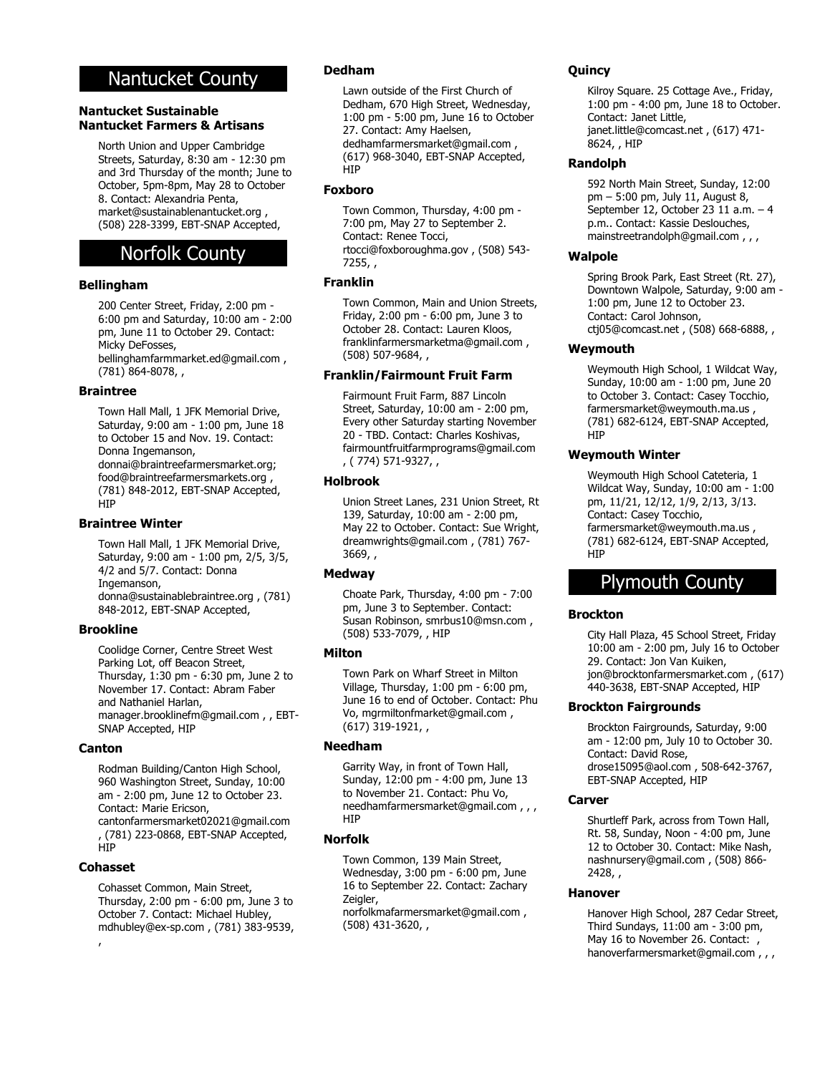# Nantucket County

# **Nantucket Sustainable Nantucket Farmers & Artisans**

North Union and Upper Cambridge Streets, Saturday, 8:30 am - 12:30 pm and 3rd Thursday of the month; June to October, 5pm-8pm, May 28 to October 8. Contact: Alexandria Penta, market@sustainablenantucket.org , (508) 228-3399, EBT-SNAP Accepted,

# Norfolk County

# **Bellingham**

200 Center Street, Friday, 2:00 pm - 6:00 pm and Saturday, 10:00 am - 2:00 pm, June 11 to October 29. Contact: Micky DeFosses, bellinghamfarmmarket.ed@gmail.com , (781) 864-8078, ,

#### **Braintree**

Town Hall Mall, 1 JFK Memorial Drive, Saturday, 9:00 am - 1:00 pm, June 18 to October 15 and Nov. 19. Contact: Donna Ingemanson, donnai@braintreefarmersmarket.org; food@braintreefarmersmarkets.org , (781) 848-2012, EBT-SNAP Accepted, HIP

#### **Braintree Winter**

Town Hall Mall, 1 JFK Memorial Drive, Saturday, 9:00 am - 1:00 pm, 2/5, 3/5, 4/2 and 5/7. Contact: Donna Ingemanson, donna@sustainablebraintree.org , (781) 848-2012, EBT-SNAP Accepted,

#### **Brookline**

Coolidge Corner, Centre Street West Parking Lot, off Beacon Street, Thursday, 1:30 pm - 6:30 pm, June 2 to November 17. Contact: Abram Faber and Nathaniel Harlan, manager.brooklinefm@gmail.com , , EBT-SNAP Accepted, HIP

#### **Canton**

Rodman Building/Canton High School, 960 Washington Street, Sunday, 10:00 am - 2:00 pm, June 12 to October 23. Contact: Marie Ericson, cantonfarmersmarket02021@gmail.com , (781) 223-0868, EBT-SNAP Accepted, **HIP** 

# **Cohasset**

Cohasset Common, Main Street, Thursday, 2:00 pm - 6:00 pm, June 3 to October 7. Contact: Michael Hubley, mdhubley@ex-sp.com , (781) 383-9539, ,

#### **Dedham**

Lawn outside of the First Church of Dedham, 670 High Street, Wednesday, 1:00 pm - 5:00 pm, June 16 to October 27. Contact: Amy Haelsen, dedhamfarmersmarket@gmail.com , (617) 968-3040, EBT-SNAP Accepted, HIP

#### **Foxboro**

Town Common, Thursday, 4:00 pm - 7:00 pm, May 27 to September 2. Contact: Renee Tocci, rtocci@foxboroughma.gov, (508) 543-7255, ,

# **Franklin**

Town Common, Main and Union Streets, Friday, 2:00 pm - 6:00 pm, June 3 to October 28. Contact: Lauren Kloos, franklinfarmersmarketma@gmail.com , (508) 507-9684, ,

# **Franklin/Fairmount Fruit Farm**

Fairmount Fruit Farm, 887 Lincoln Street, Saturday, 10:00 am - 2:00 pm, Every other Saturday starting November 20 - TBD. Contact: Charles Koshivas, fairmountfruitfarmprograms@gmail.com , ( 774) 571-9327, ,

#### **Holbrook**

Union Street Lanes, 231 Union Street, Rt 139, Saturday, 10:00 am - 2:00 pm, May 22 to October. Contact: Sue Wright, dreamwrights@gmail.com , (781) 767- 3669, ,

# **Medway**

Choate Park, Thursday, 4:00 pm - 7:00 pm, June 3 to September. Contact: Susan Robinson, smrbus10@msn.com , (508) 533-7079, , HIP

# **Milton**

Town Park on Wharf Street in Milton Village, Thursday, 1:00 pm - 6:00 pm, June 16 to end of October. Contact: Phu Vo, mgrmiltonfmarket@gmail.com , (617) 319-1921, ,

# **Needham**

Garrity Way, in front of Town Hall, Sunday, 12:00 pm - 4:00 pm, June 13 to November 21. Contact: Phu Vo, needhamfarmersmarket@gmail.com , , , HIP

# **Norfolk**

Town Common, 139 Main Street, Wednesday, 3:00 pm - 6:00 pm, June 16 to September 22. Contact: Zachary Zeigler, norfolkmafarmersmarket@gmail.com , (508) 431-3620, ,

# **Quincy**

Kilroy Square. 25 Cottage Ave., Friday, 1:00 pm - 4:00 pm, June 18 to October. Contact: Janet Little, janet.little@comcast.net , (617) 471- 8624, , HIP

#### **Randolph**

592 North Main Street, Sunday, 12:00 pm – 5:00 pm, July 11, August 8, September 12, October 23 11 a.m. – 4 p.m.. Contact: Kassie Deslouches, mainstreetrandolph@gmail.com , , ,

#### **Walpole**

Spring Brook Park, East Street (Rt. 27), Downtown Walpole, Saturday, 9:00 am - 1:00 pm, June 12 to October 23. Contact: Carol Johnson, ctj05@comcast.net , (508) 668-6888, ,

# **Weymouth**

Weymouth High School, 1 Wildcat Way, Sunday, 10:00 am - 1:00 pm, June 20 to October 3. Contact: Casey Tocchio, farmersmarket@weymouth.ma.us , (781) 682-6124, EBT-SNAP Accepted, **HTP** 

# **Weymouth Winter**

Weymouth High School Cateteria, 1 Wildcat Way, Sunday, 10:00 am - 1:00 pm, 11/21, 12/12, 1/9, 2/13, 3/13. Contact: Casey Tocchio, farmersmarket@weymouth.ma.us , (781) 682-6124, EBT-SNAP Accepted, **HIP** 

# Plymouth County

# **Brockton**

City Hall Plaza, 45 School Street, Friday 10:00 am - 2:00 pm, July 16 to October 29. Contact: Jon Van Kuiken, jon@brocktonfarmersmarket.com , (617) 440-3638, EBT-SNAP Accepted, HIP

#### **Brockton Fairgrounds**

Brockton Fairgrounds, Saturday, 9:00 am - 12:00 pm, July 10 to October 30. Contact: David Rose, drose15095@aol.com , 508-642-3767, EBT-SNAP Accepted, HIP

# **Carver**

Shurtleff Park, across from Town Hall, Rt. 58, Sunday, Noon - 4:00 pm, June 12 to October 30. Contact: Mike Nash, nashnursery@gmail.com , (508) 866- 2428, ,

#### **Hanover**

Hanover High School, 287 Cedar Street, Third Sundays, 11:00 am - 3:00 pm, May 16 to November 26. Contact: , hanoverfarmersmarket@gmail.com , , ,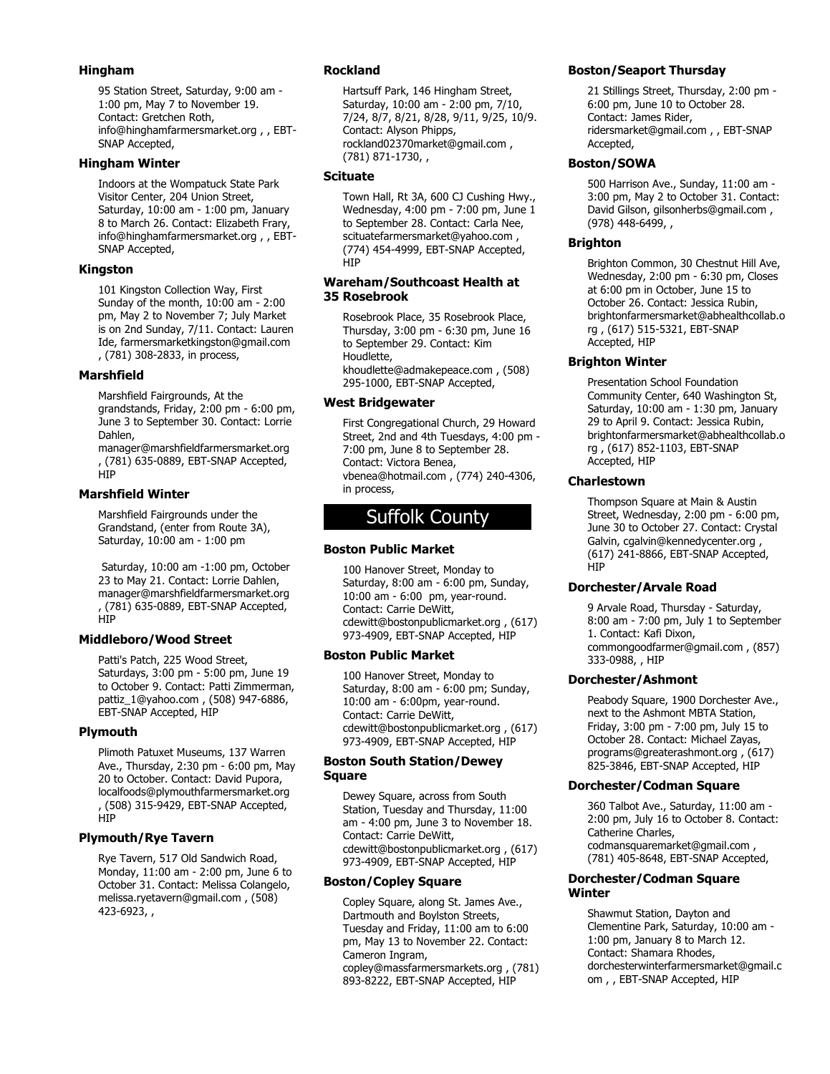# **Hingham**

95 Station Street, Saturday, 9:00 am - 1:00 pm, May 7 to November 19. Contact: Gretchen Roth, info@hinghamfarmersmarket.org , , EBT-SNAP Accepted,

# **Hingham Winter**

Indoors at the Wompatuck State Park Visitor Center, 204 Union Street, Saturday, 10:00 am - 1:00 pm, January 8 to March 26. Contact: Elizabeth Frary, info@hinghamfarmersmarket.org , , EBT-SNAP Accepted,

# **Kingston**

101 Kingston Collection Way, First Sunday of the month, 10:00 am - 2:00 pm, May 2 to November 7; July Market is on 2nd Sunday, 7/11. Contact: Lauren Ide, farmersmarketkingston@gmail.com , (781) 308-2833, in process,

# **Marshfield**

Marshfield Fairgrounds, At the grandstands, Friday, 2:00 pm - 6:00 pm, June 3 to September 30. Contact: Lorrie Dahlen,

manager@marshfieldfarmersmarket.org , (781) 635-0889, EBT-SNAP Accepted, **HIP** 

# **Marshfield Winter**

Marshfield Fairgrounds under the Grandstand, (enter from Route 3A), Saturday, 10:00 am - 1:00 pm

 Saturday, 10:00 am -1:00 pm, October 23 to May 21. Contact: Lorrie Dahlen, manager@marshfieldfarmersmarket.org , (781) 635-0889, EBT-SNAP Accepted, HIP

# **Middleboro/Wood Street**

Patti's Patch, 225 Wood Street, Saturdays, 3:00 pm - 5:00 pm, June 19 to October 9. Contact: Patti Zimmerman, pattiz\_1@yahoo.com , (508) 947-6886, EBT-SNAP Accepted, HIP

# **Plymouth**

Plimoth Patuxet Museums, 137 Warren Ave., Thursday, 2:30 pm - 6:00 pm, May 20 to October. Contact: David Pupora, localfoods@plymouthfarmersmarket.org , (508) 315-9429, EBT-SNAP Accepted, **HIP** 

# **Plymouth/Rye Tavern**

Rye Tavern, 517 Old Sandwich Road, Monday, 11:00 am - 2:00 pm, June 6 to October 31. Contact: Melissa Colangelo, melissa.ryetavern@gmail.com , (508) 423-6923, ,

# **Rockland**

Hartsuff Park, 146 Hingham Street, Saturday, 10:00 am - 2:00 pm, 7/10, 7/24, 8/7, 8/21, 8/28, 9/11, 9/25, 10/9. Contact: Alyson Phipps, rockland02370market@gmail.com , (781) 871-1730, ,

# **Scituate**

Town Hall, Rt 3A, 600 CJ Cushing Hwy., Wednesday, 4:00 pm - 7:00 pm, June 1 to September 28. Contact: Carla Nee, scituatefarmersmarket@yahoo.com , (774) 454-4999, EBT-SNAP Accepted, **HIP** 

# **Wareham/Southcoast Health at 35 Rosebrook**

Rosebrook Place, 35 Rosebrook Place, Thursday, 3:00 pm - 6:30 pm, June 16 to September 29. Contact: Kim Houdlette, khoudlette@admakepeace.com , (508) 295-1000, EBT-SNAP Accepted,

# **West Bridgewater**

First Congregational Church, 29 Howard Street, 2nd and 4th Tuesdays, 4:00 pm - 7:00 pm, June 8 to September 28. Contact: Victora Benea, vbenea@hotmail.com , (774) 240-4306, in process,

# Suffolk County

# **Boston Public Market**

100 Hanover Street, Monday to Saturday, 8:00 am - 6:00 pm, Sunday, 10:00 am - 6:00 pm, year-round. Contact: Carrie DeWitt, cdewitt@bostonpublicmarket.org , (617) 973-4909, EBT-SNAP Accepted, HIP

# **Boston Public Market**

100 Hanover Street, Monday to Saturday, 8:00 am - 6:00 pm; Sunday, 10:00 am - 6:00pm, year-round. Contact: Carrie DeWitt, cdewitt@bostonpublicmarket.org , (617) 973-4909, EBT-SNAP Accepted, HIP

# **Boston South Station/Dewey Square**

Dewey Square, across from South Station, Tuesday and Thursday, 11:00 am - 4:00 pm, June 3 to November 18. Contact: Carrie DeWitt, cdewitt@bostonpublicmarket.org , (617) 973-4909, EBT-SNAP Accepted, HIP

# **Boston/Copley Square**

Copley Square, along St. James Ave., Dartmouth and Boylston Streets, Tuesday and Friday, 11:00 am to 6:00 pm, May 13 to November 22. Contact: Cameron Ingram, copley@massfarmersmarkets.org , (781) 893-8222, EBT-SNAP Accepted, HIP

# **Boston/Seaport Thursday**

21 Stillings Street, Thursday, 2:00 pm - 6:00 pm, June 10 to October 28. Contact: James Rider, ridersmarket@gmail.com , , EBT-SNAP Accepted,

# **Boston/SOWA**

500 Harrison Ave., Sunday, 11:00 am - 3:00 pm, May 2 to October 31. Contact: David Gilson, gilsonherbs@gmail.com , (978) 448-6499, ,

# **Brighton**

Brighton Common, 30 Chestnut Hill Ave, Wednesday, 2:00 pm - 6:30 pm, Closes at 6:00 pm in October, June 15 to October 26. Contact: Jessica Rubin, brightonfarmersmarket@abhealthcollab.o rg , (617) 515-5321, EBT-SNAP Accepted, HIP

# **Brighton Winter**

Presentation School Foundation Community Center, 640 Washington St, Saturday, 10:00 am - 1:30 pm, January 29 to April 9. Contact: Jessica Rubin, brightonfarmersmarket@abhealthcollab.o rg , (617) 852-1103, EBT-SNAP Accepted, HIP

# **Charlestown**

Thompson Square at Main & Austin Street, Wednesday, 2:00 pm - 6:00 pm, June 30 to October 27. Contact: Crystal Galvin, cgalvin@kennedycenter.org , (617) 241-8866, EBT-SNAP Accepted, HIP

# **Dorchester/Arvale Road**

9 Arvale Road, Thursday - Saturday, 8:00 am - 7:00 pm, July 1 to September 1. Contact: Kafi Dixon, commongoodfarmer@gmail.com , (857) 333-0988, , HIP

# **Dorchester/Ashmont**

Peabody Square, 1900 Dorchester Ave., next to the Ashmont MBTA Station, Friday, 3:00 pm - 7:00 pm, July 15 to October 28. Contact: Michael Zayas, programs@greaterashmont.org , (617) 825-3846, EBT-SNAP Accepted, HIP

# **Dorchester/Codman Square**

360 Talbot Ave., Saturday, 11:00 am - 2:00 pm, July 16 to October 8. Contact: Catherine Charles, codmansquaremarket@gmail.com , (781) 405-8648, EBT-SNAP Accepted,

# **Dorchester/Codman Square Winter**

Shawmut Station, Dayton and Clementine Park, Saturday, 10:00 am - 1:00 pm, January 8 to March 12. Contact: Shamara Rhodes, dorchesterwinterfarmersmarket@gmail.c om , , EBT-SNAP Accepted, HIP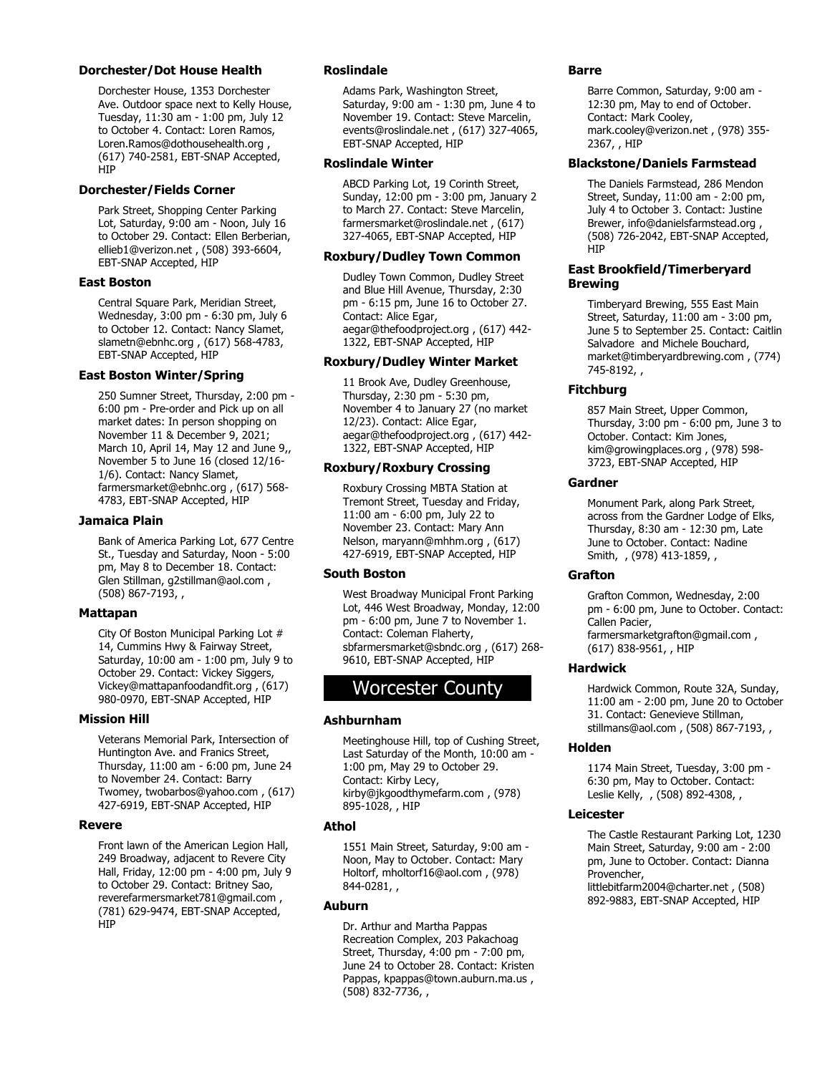#### **Dorchester/Dot House Health**

Dorchester House, 1353 Dorchester Ave. Outdoor space next to Kelly House, Tuesday, 11:30 am - 1:00 pm, July 12 to October 4. Contact: Loren Ramos, Loren.Ramos@dothousehealth.org , (617) 740-2581, EBT-SNAP Accepted, HIP

#### **Dorchester/Fields Corner**

Park Street, Shopping Center Parking Lot, Saturday, 9:00 am - Noon, July 16 to October 29. Contact: Ellen Berberian, ellieb1@verizon.net , (508) 393-6604, EBT-SNAP Accepted, HIP

# **East Boston**

Central Square Park, Meridian Street, Wednesday, 3:00 pm - 6:30 pm, July 6 to October 12. Contact: Nancy Slamet, slametn@ebnhc.org , (617) 568-4783, EBT-SNAP Accepted, HIP

# **East Boston Winter/Spring**

250 Sumner Street, Thursday, 2:00 pm - 6:00 pm - Pre-order and Pick up on all market dates: In person shopping on November 11 & December 9, 2021; March 10, April 14, May 12 and June 9,, November 5 to June 16 (closed 12/16- 1/6). Contact: Nancy Slamet, farmersmarket@ebnhc.org , (617) 568- 4783, EBT-SNAP Accepted, HIP

#### **Jamaica Plain**

Bank of America Parking Lot, 677 Centre St., Tuesday and Saturday, Noon - 5:00 pm, May 8 to December 18. Contact: Glen Stillman, g2stillman@aol.com , (508) 867-7193, ,

# **Mattapan**

City Of Boston Municipal Parking Lot # 14, Cummins Hwy & Fairway Street, Saturday, 10:00 am - 1:00 pm, July 9 to October 29. Contact: Vickey Siggers, Vickey@mattapanfoodandfit.org , (617) 980-0970, EBT-SNAP Accepted, HIP

#### **Mission Hill**

Veterans Memorial Park, Intersection of Huntington Ave. and Franics Street, Thursday, 11:00 am - 6:00 pm, June 24 to November 24. Contact: Barry Twomey, twobarbos@yahoo.com , (617) 427-6919, EBT-SNAP Accepted, HIP

#### **Revere**

Front lawn of the American Legion Hall, 249 Broadway, adjacent to Revere City Hall, Friday, 12:00 pm - 4:00 pm, July 9 to October 29. Contact: Britney Sao, reverefarmersmarket781@gmail.com , (781) 629-9474, EBT-SNAP Accepted, HIP

# **Roslindale**

Adams Park, Washington Street, Saturday, 9:00 am - 1:30 pm, June 4 to November 19. Contact: Steve Marcelin, events@roslindale.net , (617) 327-4065, EBT-SNAP Accepted, HIP

#### **Roslindale Winter**

ABCD Parking Lot, 19 Corinth Street, Sunday, 12:00 pm - 3:00 pm, January 2 to March 27. Contact: Steve Marcelin, farmersmarket@roslindale.net , (617) 327-4065, EBT-SNAP Accepted, HIP

#### **Roxbury/Dudley Town Common**

Dudley Town Common, Dudley Street and Blue Hill Avenue, Thursday, 2:30 pm - 6:15 pm, June 16 to October 27. Contact: Alice Egar, aegar@thefoodproject.org , (617) 442- 1322, EBT-SNAP Accepted, HIP

# **Roxbury/Dudley Winter Market**

11 Brook Ave, Dudley Greenhouse, Thursday, 2:30 pm - 5:30 pm, November 4 to January 27 (no market 12/23). Contact: Alice Egar, aegar@thefoodproject.org , (617) 442- 1322, EBT-SNAP Accepted, HIP

#### **Roxbury/Roxbury Crossing**

Roxbury Crossing MBTA Station at Tremont Street, Tuesday and Friday, 11:00 am - 6:00 pm, July 22 to November 23. Contact: Mary Ann Nelson, maryann@mhhm.org , (617) 427-6919, EBT-SNAP Accepted, HIP

#### **South Boston**

West Broadway Municipal Front Parking Lot, 446 West Broadway, Monday, 12:00 pm - 6:00 pm, June 7 to November 1. Contact: Coleman Flaherty, sbfarmersmarket@sbndc.org , (617) 268- 9610, EBT-SNAP Accepted, HIP

# Worcester County

#### **Ashburnham**

Meetinghouse Hill, top of Cushing Street, Last Saturday of the Month, 10:00 am - 1:00 pm, May 29 to October 29. Contact: Kirby Lecy, kirby@jkgoodthymefarm.com , (978) 895-1028, , HIP

#### **Athol**

1551 Main Street, Saturday, 9:00 am - Noon, May to October. Contact: Mary Holtorf, mholtorf16@aol.com , (978) 844-0281, ,

#### **Auburn**

Dr. Arthur and Martha Pappas Recreation Complex, 203 Pakachoag Street, Thursday, 4:00 pm - 7:00 pm, June 24 to October 28. Contact: Kristen Pappas, kpappas@town.auburn.ma.us , (508) 832-7736, ,

#### **Barre**

Barre Common, Saturday, 9:00 am - 12:30 pm, May to end of October. Contact: Mark Cooley, mark.cooley@verizon.net , (978) 355- 2367, , HIP

#### **Blackstone/Daniels Farmstead**

The Daniels Farmstead, 286 Mendon Street, Sunday, 11:00 am - 2:00 pm, July 4 to October 3. Contact: Justine Brewer, info@danielsfarmstead.org , (508) 726-2042, EBT-SNAP Accepted, **H<sub>I</sub>P** 

# **East Brookfield/Timerberyard Brewing**

Timberyard Brewing, 555 East Main Street, Saturday, 11:00 am - 3:00 pm, June 5 to September 25. Contact: Caitlin Salvadore and Michele Bouchard, market@timberyardbrewing.com , (774) 745-8192, ,

# **Fitchburg**

857 Main Street, Upper Common, Thursday, 3:00 pm - 6:00 pm, June 3 to October. Contact: Kim Jones, kim@growingplaces.org , (978) 598- 3723, EBT-SNAP Accepted, HIP

#### **Gardner**

Monument Park, along Park Street, across from the Gardner Lodge of Elks, Thursday, 8:30 am - 12:30 pm, Late June to October. Contact: Nadine Smith, , (978) 413-1859, ,

# **Grafton**

Grafton Common, Wednesday, 2:00 pm - 6:00 pm, June to October. Contact: Callen Pacier, farmersmarketgrafton@gmail.com , (617) 838-9561, , HIP

# **Hardwick**

Hardwick Common, Route 32A, Sunday, 11:00 am - 2:00 pm, June 20 to October 31. Contact: Genevieve Stillman, stillmans@aol.com , (508) 867-7193, ,

#### **Holden**

1174 Main Street, Tuesday, 3:00 pm - 6:30 pm, May to October. Contact: Leslie Kelly, , (508) 892-4308, ,

#### **Leicester**

The Castle Restaurant Parking Lot, 1230 Main Street, Saturday, 9:00 am - 2:00 pm, June to October. Contact: Dianna Provencher, littlebitfarm2004@charter.net , (508) 892-9883, EBT-SNAP Accepted, HIP